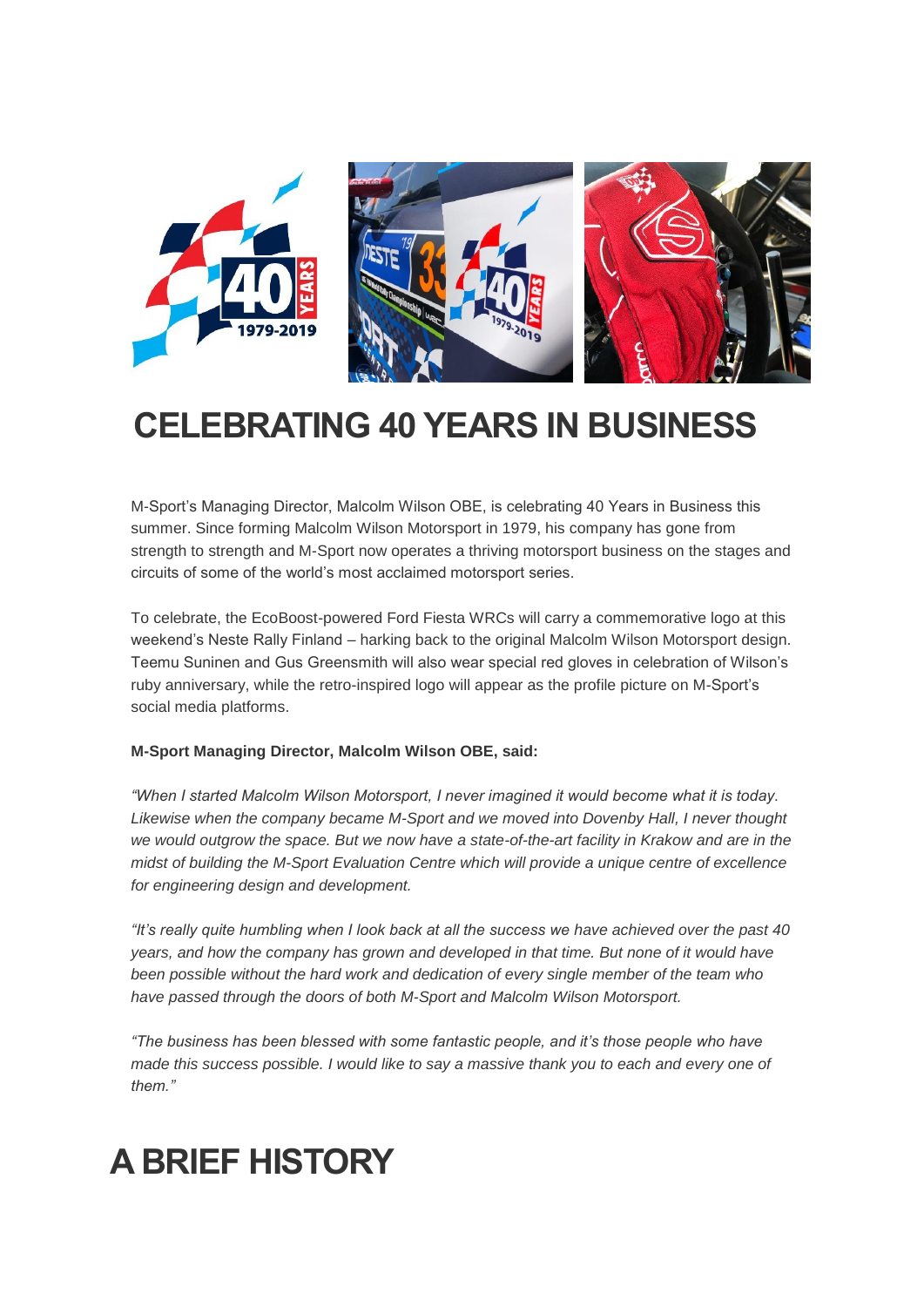

## **CELEBRATING 40 YEARS IN BUSINESS**

M-Sport's Managing Director, Malcolm Wilson OBE, is celebrating 40 Years in Business this summer. Since forming Malcolm Wilson Motorsport in 1979, his company has gone from strength to strength and M-Sport now operates a thriving motorsport business on the stages and circuits of some of the world's most acclaimed motorsport series.

To celebrate, the EcoBoost-powered Ford Fiesta WRCs will carry a commemorative logo at this weekend's Neste Rally Finland – harking back to the original Malcolm Wilson Motorsport design. Teemu Suninen and Gus Greensmith will also wear special red gloves in celebration of Wilson's ruby anniversary, while the retro-inspired logo will appear as the profile picture on M-Sport's social media platforms.

### **M-Sport Managing Director, Malcolm Wilson OBE, said:**

*"When I started Malcolm Wilson Motorsport, I never imagined it would become what it is today. Likewise when the company became M-Sport and we moved into Dovenby Hall, I never thought we would outgrow the space. But we now have a state-of-the-art facility in Krakow and are in the midst of building the M-Sport Evaluation Centre which will provide a unique centre of excellence for engineering design and development.*

*"It's really quite humbling when I look back at all the success we have achieved over the past 40 years, and how the company has grown and developed in that time. But none of it would have been possible without the hard work and dedication of every single member of the team who have passed through the doors of both M-Sport and Malcolm Wilson Motorsport.*

*"The business has been blessed with some fantastic people, and it's those people who have made this success possible. I would like to say a massive thank you to each and every one of them."*

## **A BRIEF HISTORY**